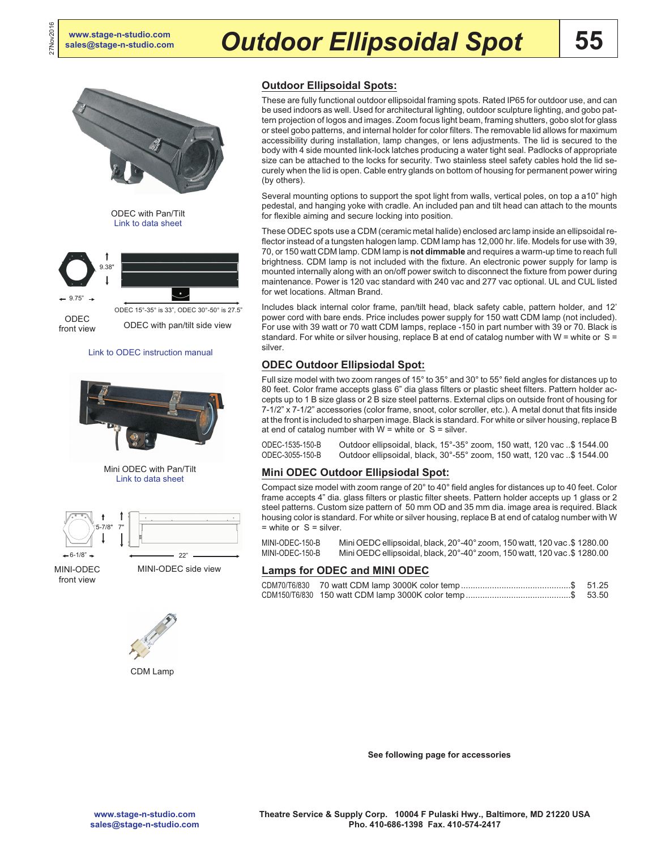27Nov2016



# **Outdoor Ellipsoidal Spots:**

These are fully functional outdoor ellipsoidal framing spots. Rated IP65 for outdoor use, and can be used indoors as well. Used for architectural lighting, outdoor sculpture lighting, and gobo pattern projection of logos and images. Zoom focus light beam, framing shutters, gobo slot for glass or steel gobo patterns, and internal holder for color filters. The removable lid allows for maximum accessibility during installation, lamp changes, or lens adjustments. The lid is secured to the body with 4 side mounted link-lock latches producing a water tight seal. Padlocks of appropriate size can be attached to the locks for security. Two stainless steel safety cables hold the lid securely when the lid is open. Cable entry glands on bottom of housing for permanent power wiring (by others).

Several mounting options to support the spot light from walls, vertical poles, on top a a10" high pedestal, and hanging yoke with cradle. An included pan and tilt head can attach to the mounts for flexible aiming and secure locking into position.

These ODEC spots use a CDM (ceramic metal halide) enclosed arc lamp inside an ellipsoidal reflector instead of a tungsten halogen lamp. CDM lamp has 12,000 hr. life. Models for use with 39, 70, or 150 watt CDM lamp. CDM lamp is **not dimmable** and requires a warm-up time to reach full brightness. CDM lamp is not included with the fixture. An electronic power supply for lamp is mounted internally along with an on/off power switch to disconnect the fixture from power during maintenance. Power is 120 vac standard with 240 vac and 277 vac optional. UL and CUL listed for wet locations. Altman Brand.

Includes black internal color frame, pan/tilt head, black safety cable, pattern holder, and 12' power cord with bare ends. Price includes power supply for 150 watt CDM lamp (not included). For use with 39 watt or 70 watt CDM lamps, replace -150 in part number with 39 or 70. Black is standard. For white or silver housing, replace B at end of catalog number with W = white or  $S =$ silver.

## **ODEC Outdoor Ellipsiodal Spot:**

Full size model with two zoom ranges of 15° to 35° and 30° to 55° field angles for distances up to 80 feet. Color frame accepts glass 6" dia glass filters or plastic sheet filters. Pattern holder accepts up to 1 B size glass or 2 B size steel patterns. External clips on outside front of housing for 7-1/2" x 7-1/2" accessories (color frame, snoot, color scroller, etc.). A metal donut that fits inside at the front is included to sharpen image. Black is standard. For white or silver housing, replace B at end of catalog number with  $W =$  white or  $S =$  silver.

ODEC-1535-150-B Outdoor ellipsoidal, black, 15°-35° zoom, 150 watt, 120 vac ..\$ 1544.00 Outdoor ellipsoidal, black, 30°-55° zoom, 150 watt, 120 vac ..\$ 1544.00

#### **Mini ODEC Outdoor Ellipsiodal Spot:**

Compact size model with zoom range of 20° to 40° field angles for distances up to 40 feet. Color frame accepts 4" dia. glass filters or plastic filter sheets. Pattern holder accepts up 1 glass or 2 steel patterns. Custom size pattern of 50 mm OD and 35 mm dia. image area is required. Black housing color is standard. For white or silver housing, replace B at end of catalog number with W  $=$  white or  $S =$  silver.

MINI-ODEC-150-B Mini OEDC ellipsoidal, black, 20°-40° zoom, 150 watt, 120 vac.\$ 1280.00 MINI-ODEC-150-B Mini OEDC ellipsoidal, black, 20°-40° zoom, 150 watt, 120 vac.\$ 1280.00

## **Lamps for ODEC and MINI ODEC**



front view

MINI-ODEC side view 22"



Mini ODEC with Pan/Tilt [Link to data sheet](http://altmanlighting.com/wp-content/uploads/2016/04/Miniodec.pdf)

7"

5-7/8"

CDM Lamp

**See following page for accessories**